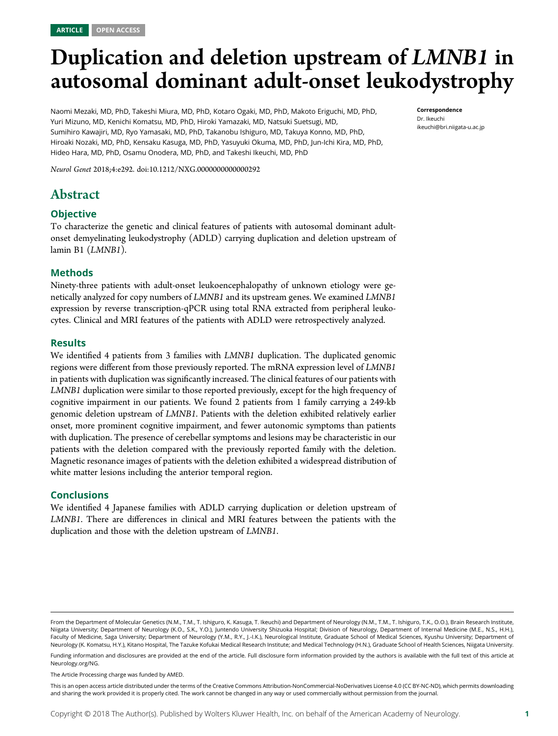# Duplication and deletion upstream of LMNB1 in autosomal dominant adult-onset leukodystrophy

Naomi Mezaki, MD, PhD, Takeshi Miura, MD, PhD, Kotaro Ogaki, MD, PhD, Makoto Eriguchi, MD, PhD, Yuri Mizuno, MD, Kenichi Komatsu, MD, PhD, Hiroki Yamazaki, MD, Natsuki Suetsugi, MD, Sumihiro Kawajiri, MD, Ryo Yamasaki, MD, PhD, Takanobu Ishiguro, MD, Takuya Konno, MD, PhD, Hiroaki Nozaki, MD, PhD, Kensaku Kasuga, MD, PhD, Yasuyuki Okuma, MD, PhD, Jun-Ichi Kira, MD, PhD, Hideo Hara, MD, PhD, Osamu Onodera, MD, PhD, and Takeshi Ikeuchi, MD, PhD

Neurol Genet 2018;4:e292. doi:[10.1212/NXG.0000000000000292](http://dx.doi.org/10.1212/NXG.0000000000000292)

# Abstract

# **Objective**

To characterize the genetic and clinical features of patients with autosomal dominant adultonset demyelinating leukodystrophy (ADLD) carrying duplication and deletion upstream of lamin B1 (LMNB1).

#### Methods

Ninety-three patients with adult-onset leukoencephalopathy of unknown etiology were genetically analyzed for copy numbers of LMNB1 and its upstream genes. We examined LMNB1 expression by reverse transcription-qPCR using total RNA extracted from peripheral leukocytes. Clinical and MRI features of the patients with ADLD were retrospectively analyzed.

#### **Results**

We identified 4 patients from 3 families with *LMNB1* duplication. The duplicated genomic regions were different from those previously reported. The mRNA expression level of LMNB1 in patients with duplication was significantly increased. The clinical features of our patients with LMNB1 duplication were similar to those reported previously, except for the high frequency of cognitive impairment in our patients. We found 2 patients from 1 family carrying a 249-kb genomic deletion upstream of LMNB1. Patients with the deletion exhibited relatively earlier onset, more prominent cognitive impairment, and fewer autonomic symptoms than patients with duplication. The presence of cerebellar symptoms and lesions may be characteristic in our patients with the deletion compared with the previously reported family with the deletion. Magnetic resonance images of patients with the deletion exhibited a widespread distribution of white matter lesions including the anterior temporal region.

#### **Conclusions**

We identified 4 Japanese families with ADLD carrying duplication or deletion upstream of LMNB1. There are differences in clinical and MRI features between the patients with the duplication and those with the deletion upstream of LMNB1.

Funding information and disclosures are provided at the end of the article. Full disclosure form information provided by the authors is available with the full text of this article at [Neurology.org/NG](http://ng.neurology.org/lookup/doi/10.1212/NXG.0000000000000292).

The Article Processing charge was funded by AMED.

This is an open access article distributed under the terms of the [Creative Commons Attribution-NonCommercial-NoDerivatives License 4.0 \(CC BY-NC-ND\),](http://creativecommons.org/licenses/by-nc-nd/4.0/) which permits downloading and sharing the work provided it is properly cited. The work cannot be changed in any way or used commercially without permission from the journal.

Correspondence Dr. Ikeuchi [ikeuchi@bri.niigata-u.ac.jp](mailto:ikeuchi@bri.niigata-u.ac.jp)

From the Department of Molecular Genetics (N.M., T.M., T. Ishiguro, K. Kasuga, T. Ikeuchi) and Department of Neurology (N.M., T.M., T. Ishiguro, T.K., O.O.), Brain Research Institute, Niigata University; Department of Neurology (K.O., S.K., Y.O.), Juntendo University Shizuoka Hospital; Division of Neurology, Department of Internal Medicine (M.E., N.S., H.H.), Faculty of Medicine, Saga University; Department of Neurology (Y.M., R.Y., J.-I.K.), Neurological Institute, Graduate School of Medical Sciences, Kyushu University; Department of Neurology (K. Komatsu, H.Y.), Kitano Hospital, The Tazuke Kofukai Medical Research Institute; and Medical Technology (H.N.), Graduate School of Health Sciences, Niigata University.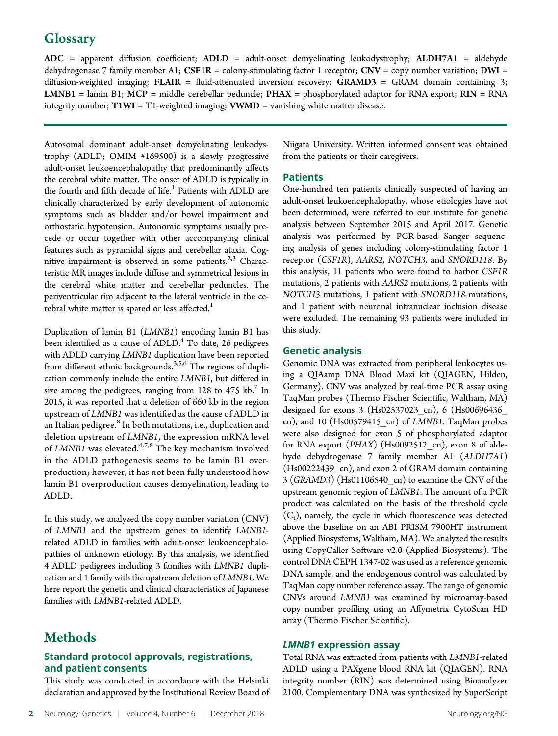# **Glossary**

ADC = apparent diffusion coefficient; ADLD = adult-onset demyelinating leukodystrophy; ALDH7A1 = aldehyde dehydrogenase 7 family member A1; CSF1R = colony-stimulating factor 1 receptor; CNV = copy number variation; DWI = diffusion-weighted imaging; FLAIR = fluid-attenuated inversion recovery; GRAMD3 = GRAM domain containing 3; LMNB1 = lamin B1; MCP = middle cerebellar peduncle;  $PHAX$  = phosphorylated adaptor for RNA export;  $RIN$  = RNA integrity number;  $T1WI = T1$ -weighted imaging;  $VWMD =$  vanishing white matter disease.

Autosomal dominant adult-onset demyelinating leukodystrophy (ADLD; OMIM #169500) is a slowly progressive adult-onset leukoencephalopathy that predominantly affects the cerebral white matter. The onset of ADLD is typically in the fourth and fifth decade of life.<sup>1</sup> Patients with ADLD are clinically characterized by early development of autonomic symptoms such as bladder and/or bowel impairment and orthostatic hypotension. Autonomic symptoms usually precede or occur together with other accompanying clinical features such as pyramidal signs and cerebellar ataxia. Cognitive impairment is observed in some patients.<sup>2,3</sup> Characteristic MR images include diffuse and symmetrical lesions in the cerebral white matter and cerebellar peduncles. The periventricular rim adjacent to the lateral ventricle in the cerebral white matter is spared or less affected.<sup>1</sup>

Duplication of lamin B1 (LMNB1) encoding lamin B1 has been identified as a cause of  $ADLD<sup>4</sup>$  To date, 26 pedigrees with ADLD carrying LMNB1 duplication have been reported from different ethnic backgrounds.<sup>3,5,6</sup> The regions of duplication commonly include the entire LMNB1, but differed in size among the pedigrees, ranging from  $128$  to  $475$  kb.<sup>7</sup> In 2015, it was reported that a deletion of 660 kb in the region upstream of LMNB1 was identified as the cause of ADLD in an Italian pedigree.<sup>8</sup> In both mutations, i.e., duplication and deletion upstream of LMNB1, the expression mRNA level of LMNB1 was elevated.<sup>4,7,8</sup> The key mechanism involved in the ADLD pathogenesis seems to be lamin B1 overproduction; however, it has not been fully understood how lamin B1 overproduction causes demyelination, leading to ADLD.

In this study, we analyzed the copy number variation (CNV) of LMNB1 and the upstream genes to identify LMNB1 related ADLD in families with adult-onset leukoencephalopathies of unknown etiology. By this analysis, we identified 4 ADLD pedigrees including 3 families with LMNB1 duplication and 1 family with the upstream deletion of LMNB1. We here report the genetic and clinical characteristics of Japanese families with LMNB1-related ADLD.

# **Methods**

# Standard protocol approvals, registrations, and patient consents

This study was conducted in accordance with the Helsinki declaration and approved by the Institutional Review Board of Niigata University. Written informed consent was obtained from the patients or their caregivers.

## **Patients**

One-hundred ten patients clinically suspected of having an adult-onset leukoencephalopathy, whose etiologies have not been determined, were referred to our institute for genetic analysis between September 2015 and April 2017. Genetic analysis was performed by PCR-based Sanger sequencing analysis of genes including colony-stimulating factor 1 receptor (CSF1R), AARS2, NOTCH3, and SNORD118. By this analysis, 11 patients who were found to harbor CSF1R mutations, 2 patients with AARS2 mutations, 2 patients with NOTCH3 mutations, 1 patient with SNORD118 mutations, and 1 patient with neuronal intranuclear inclusion disease were excluded. The remaining 93 patients were included in this study.

## Genetic analysis

Genomic DNA was extracted from peripheral leukocytes using a QIAamp DNA Blood Maxi kit (QIAGEN, Hilden, Germany). CNV was analyzed by real-time PCR assay using TaqMan probes (Thermo Fischer Scientific, Waltham, MA) designed for exons 3 (Hs02537023\_cn), 6 (Hs00696436\_ cn), and 10 (Hs00579415\_cn) of LMNB1. TaqMan probes were also designed for exon 5 of phosphorylated adaptor for RNA export (PHAX) (Hs0092512\_cn), exon 8 of aldehyde dehydrogenase 7 family member A1 (ALDH7A1) (Hs00222439\_cn), and exon 2 of GRAM domain containing 3 (GRAMD3) (Hs01106540\_cn) to examine the CNV of the upstream genomic region of LMNB1. The amount of a PCR product was calculated on the basis of the threshold cycle  $(C<sub>t</sub>)$ , namely, the cycle in which fluorescence was detected above the baseline on an ABI PRISM 7900HT instrument (Applied Biosystems, Waltham, MA). We analyzed the results using CopyCaller Software v2.0 (Applied Biosystems). The control DNA CEPH 1347-02 was used as a reference genomic DNA sample, and the endogenous control was calculated by TaqMan copy number reference assay. The range of genomic CNVs around LMNB1 was examined by microarray-based copy number profiling using an Affymetrix CytoScan HD array (Thermo Fischer Scientific).

#### LMNB1 expression assay

Total RNA was extracted from patients with LMNB1-related ADLD using a PAXgene blood RNA kit (QIAGEN). RNA integrity number (RIN) was determined using Bioanalyzer 2100. Complementary DNA was synthesized by SuperScript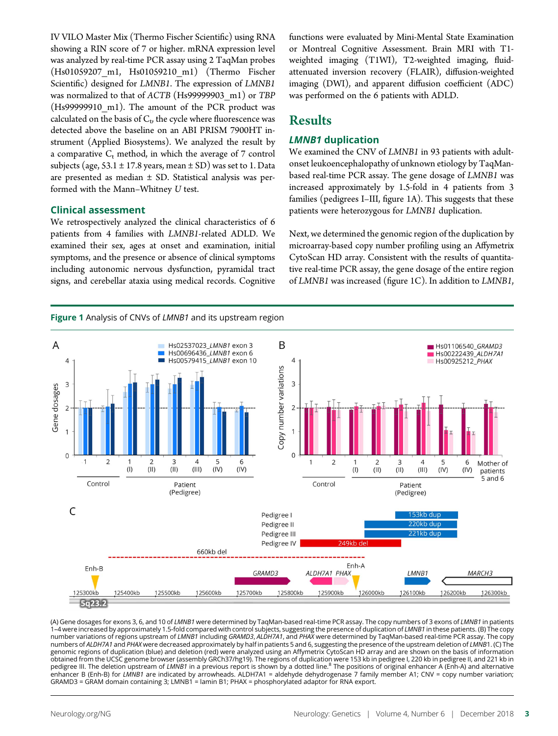IV VILO Master Mix (Thermo Fischer Scientific) using RNA showing a RIN score of 7 or higher. mRNA expression level was analyzed by real-time PCR assay using 2 TaqMan probes (Hs01059207\_m1, Hs01059210\_m1) (Thermo Fischer Scientific) designed for LMNB1. The expression of LMNB1 was normalized to that of ACTB (Hs99999903\_m1) or TBP (Hs99999910 m1). The amount of the PCR product was calculated on the basis of  $C_t$ , the cycle where fluorescence was detected above the baseline on an ABI PRISM 7900HT instrument (Applied Biosystems). We analyzed the result by a comparative  $C_t$  method, in which the average of 7 control subjects (age,  $53.1 \pm 17.8$  years, mean  $\pm$  SD) was set to 1. Data are presented as median  $\pm$  SD. Statistical analysis was performed with the Mann–Whitney U test.

#### Clinical assessment

We retrospectively analyzed the clinical characteristics of 6 patients from 4 families with LMNB1-related ADLD. We examined their sex, ages at onset and examination, initial symptoms, and the presence or absence of clinical symptoms including autonomic nervous dysfunction, pyramidal tract signs, and cerebellar ataxia using medical records. Cognitive functions were evaluated by Mini-Mental State Examination or Montreal Cognitive Assessment. Brain MRI with T1 weighted imaging (T1WI), T2-weighted imaging, fluidattenuated inversion recovery (FLAIR), diffusion-weighted imaging (DWI), and apparent diffusion coefficient (ADC) was performed on the 6 patients with ADLD.

# **Results**

#### LMNB1 duplication

We examined the CNV of LMNB1 in 93 patients with adultonset leukoencephalopathy of unknown etiology by TaqManbased real-time PCR assay. The gene dosage of LMNB1 was increased approximately by 1.5-fold in 4 patients from 3 families (pedigrees I–III, figure 1A). This suggests that these patients were heterozygous for LMNB1 duplication.

Next, we determined the genomic region of the duplication by microarray-based copy number profiling using an Affymetrix CytoScan HD array. Consistent with the results of quantitative real-time PCR assay, the gene dosage of the entire region of LMNB1 was increased (figure 1C). In addition to LMNB1,



(A) Gene dosages for exons 3, 6, and 10 of LMNB1 were determined by TaqMan-based real-time PCR assay. The copy numbers of 3 exons of LMNB1 in patients 1-4 were increased by approximately 1.5-fold compared with control subjects, suggesting the presence of duplication of LMNB1 in these patients. (B) The copy number variations of regions upstream of LMNB1 including GRAMD3, ALDH7A1, and PHAX were determined by TaqMan-based real-time PCR assay. The copy numbers of ALDH7A1 and PHAX were decreased approximately by half in patients 5 and 6, suggesting the presence of the upstream deletion of LMNB1. (C) The genomic regions of duplication (blue) and deletion (red) were analyzed using an Affymetrix CytoScan HD array and are shown on the basis of information obtained from the UCSC genome browser (assembly GRCh37/hg19). The regions of duplication were 153 kb in pedigree l, 220 kb in pedigree ll, and 221 kb in<br>pedigree III. The deletion upstream of *LMNB1* in a previous report i enhancer B (Enh-B) for LMNB1 are indicated by arrowheads. ALDH7A1 = aldehyde dehydrogenase 7 family member A1; CNV = copy number variation; GRAMD3 = GRAM domain containing 3; LMNB1 = lamin B1; PHAX = phosphorylated adaptor for RNA export.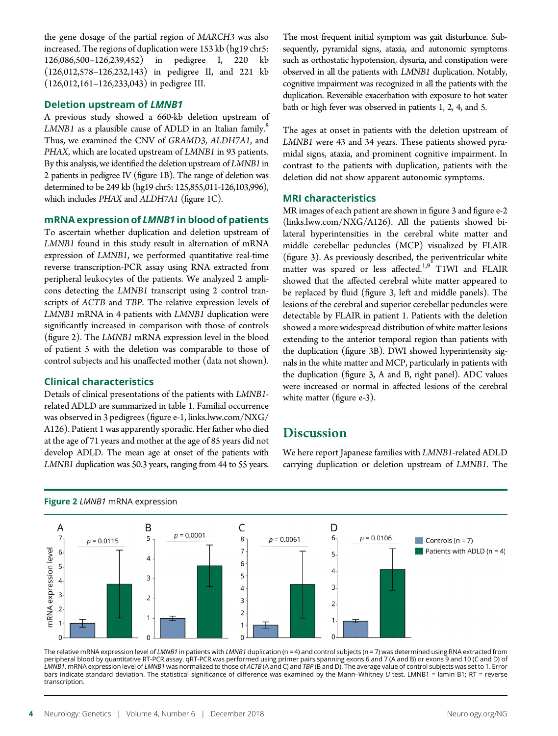the gene dosage of the partial region of MARCH3 was also increased. The regions of duplication were 153 kb (hg19 chr5: 126,086,500–126,239,452) in pedigree I, 220 kb (126,012,578–126,232,143) in pedigree II, and 221 kb (126,012,161–126,233,043) in pedigree III.

#### Deletion upstream of LMNB1

A previous study showed a 660-kb deletion upstream of LMNB1 as a plausible cause of ADLD in an Italian family.<sup>8</sup> Thus, we examined the CNV of GRAMD3, ALDH7A1, and PHAX, which are located upstream of LMNB1 in 93 patients. By this analysis, we identified the deletion upstream of LMNB1 in 2 patients in pedigree IV (figure 1B). The range of deletion was determined to be 249 kb (hg19 chr5: 125,855,011-126,103,996), which includes PHAX and ALDH7A1 (figure 1C).

#### mRNA expression of LMNB1 in blood of patients

To ascertain whether duplication and deletion upstream of LMNB1 found in this study result in alternation of mRNA expression of LMNB1, we performed quantitative real-time reverse transcription-PCR assay using RNA extracted from peripheral leukocytes of the patients. We analyzed 2 amplicons detecting the LMNB1 transcript using 2 control transcripts of ACTB and TBP. The relative expression levels of LMNB1 mRNA in 4 patients with LMNB1 duplication were significantly increased in comparison with those of controls (figure 2). The LMNB1 mRNA expression level in the blood of patient 5 with the deletion was comparable to those of control subjects and his unaffected mother (data not shown).

# Clinical characteristics

Details of clinical presentations of the patients with LMNB1 related ADLD are summarized in table 1. Familial occurrence was observed in 3 pedigrees (figure e-1, [links.lww.com/NXG/](http://links.lww.com/NXG/A126) [A126](http://links.lww.com/NXG/A126)). Patient 1 was apparently sporadic. Her father who died at the age of 71 years and mother at the age of 85 years did not develop ADLD. The mean age at onset of the patients with LMNB1 duplication was 50.3 years, ranging from 44 to 55 years.

The most frequent initial symptom was gait disturbance. Subsequently, pyramidal signs, ataxia, and autonomic symptoms such as orthostatic hypotension, dysuria, and constipation were observed in all the patients with LMNB1 duplication. Notably, cognitive impairment was recognized in all the patients with the duplication. Reversible exacerbation with exposure to hot water bath or high fever was observed in patients 1, 2, 4, and 5.

The ages at onset in patients with the deletion upstream of LMNB1 were 43 and 34 years. These patients showed pyramidal signs, ataxia, and prominent cognitive impairment. In contrast to the patients with duplication, patients with the deletion did not show apparent autonomic symptoms.

## MRI characteristics

MR images of each patient are shown in figure 3 and figure e-2 [\(links.lww.com/NXG/A126](http://links.lww.com/NXG/A126)). All the patients showed bilateral hyperintensities in the cerebral white matter and middle cerebellar peduncles (MCP) visualized by FLAIR (figure 3). As previously described, the periventricular white matter was spared or less affected.<sup>1,9</sup> T1WI and FLAIR showed that the affected cerebral white matter appeared to be replaced by fluid (figure 3, left and middle panels). The lesions of the cerebral and superior cerebellar peduncles were detectable by FLAIR in patient 1. Patients with the deletion showed a more widespread distribution of white matter lesions extending to the anterior temporal region than patients with the duplication (figure 3B). DWI showed hyperintensity signals in the white matter and MCP, particularly in patients with the duplication (figure 3, A and B, right panel). ADC values were increased or normal in affected lesions of the cerebral white matter (figure e-3).

# **Discussion**

We here report Japanese families with LMNB1-related ADLD carrying duplication or deletion upstream of LMNB1. The



#### Figure 2 LMNB1 mRNA expression

The relative mRNA expression level of LMNB1 in patients with LMNB1 duplication (n = 4) and control subjects (n = 7) was determined using RNA extracted from peripheral blood by quantitative RT-PCR assay. qRT-PCR was performed using primer pairs spanning exons 6 and 7 (A and B) or exons 9 and 10 (C and D) of LMNB1. mRNA expression level of LMNB1 was normalized to those of ACTB (A and C) and TBP (B and D). The average value of control subjects was set to 1. Error bars indicate standard deviation. The statistical significance of difference was examined by the Mann–Whitney U test. LMNB1 = lamin B1; RT = reverse transcription.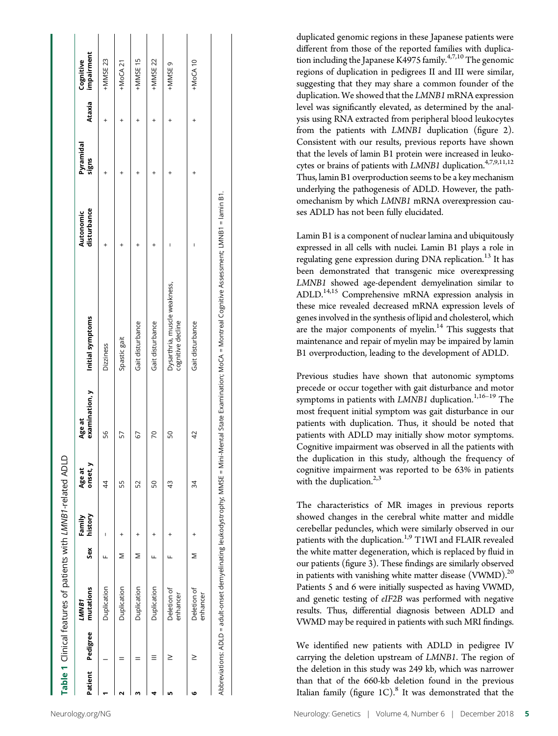|                  | Table 1 Clinical features of patients with LMNB1-related ADLD |     |                   |                    |                          |                                                                                                                                                               |                          |                    |        |                         |
|------------------|---------------------------------------------------------------|-----|-------------------|--------------------|--------------------------|---------------------------------------------------------------------------------------------------------------------------------------------------------------|--------------------------|--------------------|--------|-------------------------|
| Patient Pedigree | mutations<br>LMMB1                                            | Sex | history<br>Family | onset, y<br>Age at | examination, y<br>Age at | Initial symptoms                                                                                                                                              | disturbance<br>Autonomic | Pyramidal<br>signs | Ataxia | impairment<br>Cognitive |
|                  | Duplication                                                   | щ   | I                 | 4                  | 56                       | Dizziness                                                                                                                                                     |                          |                    |        | +MMSE 23                |
|                  | Duplication                                                   |     |                   | 55                 | 57                       | Spastic gait                                                                                                                                                  |                          |                    |        | $+$ MoCA 21             |
|                  | Duplication                                                   | Σ   |                   | 52                 | 67                       | Gait disturbance                                                                                                                                              |                          |                    |        | +MMSE 15                |
|                  | Duplication                                                   |     |                   | SO                 | 70                       | Gait disturbance                                                                                                                                              |                          |                    |        | +MMSE 22                |
| ≥                | Deletion of<br>enhancer                                       |     |                   | 43                 | SO                       | Dysarthria, muscle weakness,<br>cognitive decline                                                                                                             |                          |                    |        | +MMSE 9                 |
|                  | Deletion of<br>enhancer                                       | Σ   |                   | 34                 | 42                       | Gait disturbance                                                                                                                                              |                          |                    |        | $+$ MoCA 10             |
|                  |                                                               |     |                   |                    |                          | Abbreviations: ADLD = adult-onset demyelinating leukodystrophy; MMSE = Mini-Mental State Examination; MoCA = Montreal Cognitive Assessment; LMNB1 = lamin B1. |                          |                    |        |                         |

duplicated genomic regions in these Japanese patients were different from those of the reported families with duplication including the Japanese K4975 family. $4,7,10$  The genomic regions of duplication in pedigrees II and III were similar, suggesting that they may share a common founder of the duplication. We showed that the LMNB1 mRNA expression level was significantly elevated, as determined by the analysis using RNA extracted from peripheral blood leukocytes from the patients with LMNB1 duplication (figure 2). Consistent with our results, previous reports have shown that the levels of lamin B1 protein were increased in leukocytes or brains of patients with LMNB1 duplication.<sup>4,7,9,11,12</sup> Thus, lamin B1 overproduction seems to be a key mechanism underlying the pathogenesis of ADLD. However, the pathomechanism by which LMNB1 mRNA overexpression causes ADLD has not been fully elucidated.

Lamin B1 is a component of nuclear lamina and ubiquitously expressed in all cells with nuclei. Lamin B1 plays a role in regulating gene expression during DNA replication.<sup>13</sup> It has been demonstrated that transgenic mice overexpressing LMNB1 showed age-dependent demyelination similar to ADLD.<sup>14,15</sup> Comprehensive mRNA expression analysis in these mice revealed decreased mRNA expression levels of genes involved in the synthesis of lipid and cholesterol, which are the major components of myelin. $14$  This suggests that maintenance and repair of myelin may be impaired by lamin B1 overproduction, leading to the development of ADLD.

Previous studies have shown that autonomic symptoms precede or occur together with gait disturbance and motor symptoms in patients with LMNB1 duplication.<sup>1,16-19</sup> The most frequent initial symptom was gait disturbance in our patients with duplication. Thus, it should be noted that patients with ADLD may initially show motor symptoms. Cognitive impairment was observed in all the patients with the duplication in this study, although the frequency of cognitive impairment was reported to be 63% in patients with the duplication. $2,3$ 

The characteristics of MR images in previous reports showed changes in the cerebral white matter and middle cerebellar peduncles, which were similarly observed in our patients with the duplication.<sup>1,9</sup> T1WI and FLAIR revealed the white matter degeneration, which is replaced by fluid in our patients (figure 3). These findings are similarly observed in patients with vanishing white matter disease (VWMD).<sup>20</sup> Patients 5 and 6 were initially suspected as having VWMD, and genetic testing of eIF2B was performed with negative results. Thus, differential diagnosis between ADLD and VWMD may be required in patients with such MRI findings.

We identified new patients with ADLD in pedigree IV carrying the deletion upstream of LMNB1. The region of the deletion in this study was 249 kb, which was narrower than that of the 660-kb deletion found in the previous Italian family (figure  $1C$ ).<sup>8</sup> It was demonstrated that the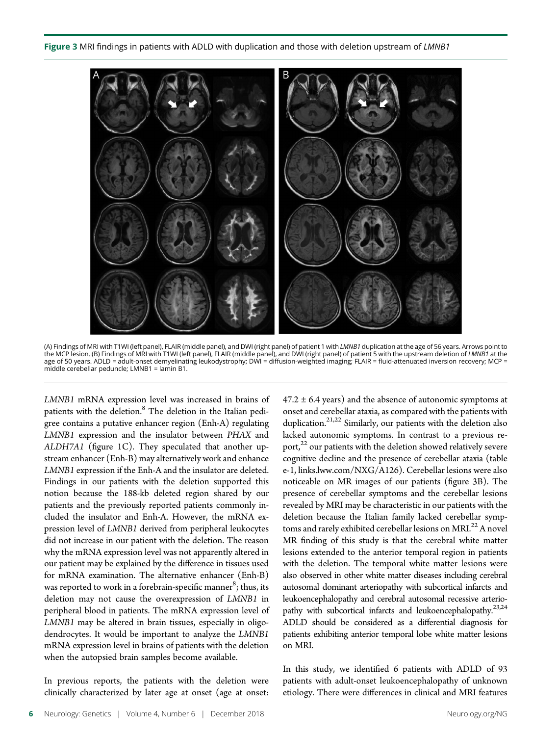

(A) Findings of MRI with T1WI (left panel), FLAIR (middle panel), and DWI (right panel) of patient 1 with LMNB1 duplication at the age of 56 years. Arrows point to the MCP lesion. (B) Findings of MRI with T1WI (left panel), FLAIR (middle panel), and DWI (right panel) of patient 5 with the upstream deletion of *LMNB1* at the<br>age of 50 years. ADLD = adult-onset demyelinating leukodystr middle cerebellar peduncle; LMNB1 = lamin B1.

LMNB1 mRNA expression level was increased in brains of patients with the deletion.<sup>8</sup> The deletion in the Italian pedigree contains a putative enhancer region (Enh-A) regulating LMNB1 expression and the insulator between PHAX and ALDH7A1 (figure 1C). They speculated that another upstream enhancer (Enh-B) may alternatively work and enhance LMNB1 expression if the Enh-A and the insulator are deleted. Findings in our patients with the deletion supported this notion because the 188-kb deleted region shared by our patients and the previously reported patients commonly included the insulator and Enh-A. However, the mRNA expression level of LMNB1 derived from peripheral leukocytes did not increase in our patient with the deletion. The reason why the mRNA expression level was not apparently altered in our patient may be explained by the difference in tissues used for mRNA examination. The alternative enhancer (Enh-B) was reported to work in a forebrain-specific manner $^8$ ; thus, its deletion may not cause the overexpression of LMNB1 in peripheral blood in patients. The mRNA expression level of LMNB1 may be altered in brain tissues, especially in oligodendrocytes. It would be important to analyze the LMNB1 mRNA expression level in brains of patients with the deletion when the autopsied brain samples become available.

In previous reports, the patients with the deletion were clinically characterized by later age at onset (age at onset:

 $47.2 \pm 6.4$  years) and the absence of autonomic symptoms at onset and cerebellar ataxia, as compared with the patients with duplication.<sup>21,22</sup> Similarly, our patients with the deletion also lacked autonomic symptoms. In contrast to a previous report,<sup>22</sup> our patients with the deletion showed relatively severe cognitive decline and the presence of cerebellar ataxia (table e-1, [links.lww.com/NXG/A126](http://links.lww.com/NXG/A126)). Cerebellar lesions were also noticeable on MR images of our patients (figure 3B). The presence of cerebellar symptoms and the cerebellar lesions revealed by MRI may be characteristic in our patients with the deletion because the Italian family lacked cerebellar symptoms and rarely exhibited cerebellar lesions on MRI.<sup>22</sup> A novel MR finding of this study is that the cerebral white matter lesions extended to the anterior temporal region in patients with the deletion. The temporal white matter lesions were also observed in other white matter diseases including cerebral autosomal dominant arteriopathy with subcortical infarcts and leukoencephalopathy and cerebral autosomal recessive arteriopathy with subcortical infarcts and leukoencephalopathy.<sup>23,24</sup> ADLD should be considered as a differential diagnosis for patients exhibiting anterior temporal lobe white matter lesions on MRI.

In this study, we identified 6 patients with ADLD of 93 patients with adult-onset leukoencephalopathy of unknown etiology. There were differences in clinical and MRI features